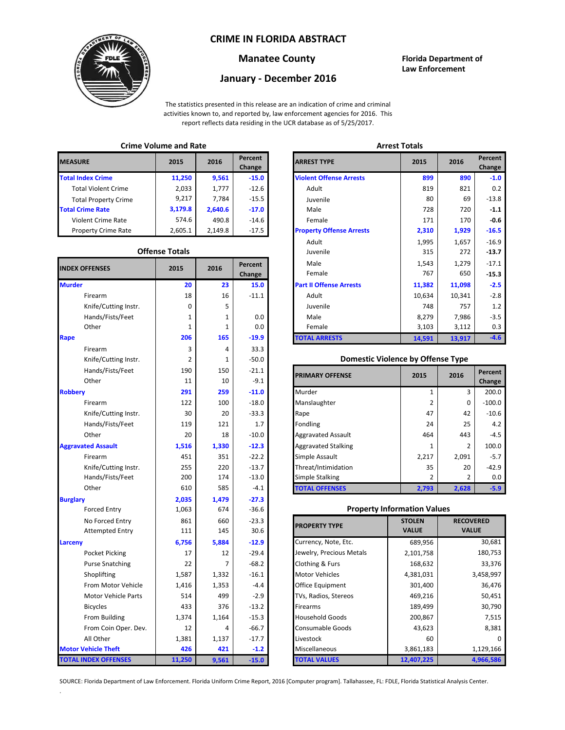# **CRIME IN FLORIDA ABSTRACT**



## **Manatee County Florida Department of Law Enforcement**

# **January - December 2016**

The statistics presented in this release are an indication of crime and criminal activities known to, and reported by, law enforcement agencies for 2016. This report reflects data residing in the UCR database as of 5/25/2017.

# **Crime Volume and Rate Arrest Totals**

| <b>MEASURE</b>              | 2015    | 2016    | <b>Percent</b><br>Change | <b>ARREST TYPE</b>             |
|-----------------------------|---------|---------|--------------------------|--------------------------------|
| <b>Total Index Crime</b>    | 11.250  | 9,561   | $-15.0$                  | <b>Violent Offense Arrests</b> |
| <b>Total Violent Crime</b>  | 2,033   | 1,777   | $-12.6$                  | Adult                          |
| <b>Total Property Crime</b> | 9,217   | 7.784   | $-15.5$                  | Juvenile                       |
| <b>Total Crime Rate</b>     | 3,179.8 | 2,640.6 | $-17.0$                  | Male                           |
| Violent Crime Rate          | 574.6   | 490.8   | $-14.6$                  | Female                         |
| <b>Property Crime Rate</b>  | 2,605.1 | 2.149.8 | $-17.5$                  | <b>Property Offense Arrest</b> |

## **Offense Totals**

| <b>INDEX OFFENSES</b>       | 2015   | 2016           | Percent<br>Change | Male<br>Female                           | 1,543<br>767   | 1,279<br>650     | $-17.1$<br>$-15.3$ |
|-----------------------------|--------|----------------|-------------------|------------------------------------------|----------------|------------------|--------------------|
| <b>Murder</b>               | 20     | 23             | 15.0              | <b>Part II Offense Arrests</b>           | 11,382         | 11,098           | $-2.5$             |
| Firearm                     | 18     | 16             | $-11.1$           | Adult                                    | 10,634         | 10,341           | $-2.8$             |
| Knife/Cutting Instr.        | 0      | 5              |                   | Juvenile                                 | 748            | 757              | 1.2                |
| Hands/Fists/Feet            | 1      | 1              | 0.0               | Male                                     | 8,279          | 7,986            | $-3.5$             |
| Other                       | 1      | 1              | 0.0               | Female                                   | 3,103          | 3,112            | 0.3                |
| Rape                        | 206    | 165            | $-19.9$           | <b>TOTAL ARRESTS</b>                     | 14,591         | 13,917           | $-4.6$             |
| Firearm                     | 3      | 4              | 33.3              |                                          |                |                  |                    |
| Knife/Cutting Instr.        | 2      | 1              | $-50.0$           | <b>Domestic Violence by Offense Type</b> |                |                  |                    |
| Hands/Fists/Feet            | 190    | 150            | $-21.1$           | <b>PRIMARY OFFENSE</b>                   | 2015           | 2016             | Percent            |
| Other                       | 11     | 10             | $-9.1$            |                                          |                |                  | Change             |
| <b>Robberv</b>              | 291    | 259            | $-11.0$           | Murder                                   | 1              | 3                | 200.0              |
| Firearm                     | 122    | 100            | $-18.0$           | Manslaughter                             | $\overline{2}$ | $\mathbf 0$      | $-100.0$           |
| Knife/Cutting Instr.        | 30     | 20             | $-33.3$           | Rape                                     | 47             | 42               | $-10.6$            |
| Hands/Fists/Feet            | 119    | 121            | 1.7               | Fondling                                 | 24             | 25               | 4.2                |
| Other                       | 20     | 18             | $-10.0$           | <b>Aggravated Assault</b>                | 464            | 443              | $-4.5$             |
| <b>Aggravated Assault</b>   | 1,516  | 1,330          | $-12.3$           | <b>Aggravated Stalking</b>               | $\mathbf{1}$   | $\overline{2}$   | 100.0              |
| Firearm                     | 451    | 351            | $-22.2$           | Simple Assault                           | 2,217          | 2,091            | $-5.7$             |
| Knife/Cutting Instr.        | 255    | 220            | $-13.7$           | Threat/Intimidation                      | 35             | 20               | $-42.9$            |
| Hands/Fists/Feet            | 200    | 174            | $-13.0$           | <b>Simple Stalking</b>                   | $\overline{2}$ | $\overline{2}$   | 0.0                |
| Other                       | 610    | 585            | $-4.1$            | <b>TOTAL OFFENSES</b>                    | 2,793          | 2,628            | $-5.9$             |
| <b>Burglary</b>             | 2,035  | 1,479          | $-27.3$           |                                          |                |                  |                    |
| <b>Forced Entry</b>         | 1,063  | 674            | $-36.6$           | <b>Property Information Values</b>       |                |                  |                    |
| No Forced Entry             | 861    | 660            | $-23.3$           | <b>PROPERTY TYPE</b>                     | <b>STOLEN</b>  | <b>RECOVERED</b> |                    |
| <b>Attempted Entry</b>      | 111    | 145            | 30.6              |                                          | <b>VALUE</b>   | <b>VALUE</b>     |                    |
| Larceny                     | 6,756  | 5,884          | $-12.9$           | Currency, Note, Etc.                     | 689,956        |                  | 30,681             |
| Pocket Picking              | 17     | 12             | $-29.4$           | Jewelry, Precious Metals                 | 2,101,758      |                  | 180,753            |
| <b>Purse Snatching</b>      | 22     | $\overline{7}$ | $-68.2$           | Clothing & Furs                          | 168,632        |                  | 33,376             |
| Shoplifting                 | 1,587  | 1,332          | $-16.1$           | Motor Vehicles                           | 4,381,031      |                  | 3,458,997          |
| From Motor Vehicle          | 1,416  | 1,353          | $-4.4$            | Office Equipment                         | 301,400        | 36,476           |                    |
| Motor Vehicle Parts         | 514    | 499            | $-2.9$            | TVs, Radios, Stereos                     | 469,216        |                  | 50,451             |
| <b>Bicycles</b>             | 433    | 376            | $-13.2$           | Firearms                                 | 189,499        |                  | 30,790             |
| From Building               | 1,374  | 1,164          | $-15.3$           | <b>Household Goods</b>                   | 200,867        | 7,515            |                    |
| From Coin Oper. Dev.        | 12     | 4              | $-66.7$           | Consumable Goods                         | 43,623         |                  | 8,381              |
| All Other                   | 1,381  | 1,137          | $-17.7$           | Livestock                                | 60             |                  |                    |
| <b>Motor Vehicle Theft</b>  | 426    | 421            | $-1.2$            | Miscellaneous                            | 3,861,183      |                  | 1,129,166          |
| <b>TOTAL INDEX OFFENSES</b> | 11,250 | 9,561          | $-15.0$           | <b>TOTAL VALUES</b>                      | 12,407,225     |                  | 4,966,586          |

.

|                      |                       |         |                   |                                 | .      |        |                   |  |
|----------------------|-----------------------|---------|-------------------|---------------------------------|--------|--------|-------------------|--|
| RΕ                   | 2015                  | 2016    | Percent<br>Change | <b>ARREST TYPE</b>              | 2015   | 2016   | Percent<br>Change |  |
| dex Crime            | 11,250                | 9,561   | $-15.0$           | <b>Violent Offense Arrests</b>  | 899    | 890    |                   |  |
| Il Violent Crime     | 2,033                 | 1,777   | $-12.6$           | Adult                           | 819    | 821    |                   |  |
| Il Property Crime    | 9,217                 | 7,784   | $-15.5$           | Juvenile                        | 80     | 69     | $-13.8$           |  |
| me Rate              | 3,179.8               | 2,640.6 | $-17.0$           | Male                            | 728    | 720    |                   |  |
| ent Crime Rate       | 574.6                 | 490.8   | $-14.6$           | Female                          | 171    | 170    |                   |  |
| erty Crime Rate      | 2,605.1               | 2,149.8 | $-17.5$           | <b>Property Offense Arrests</b> | 2,310  | 1,929  | $-16.5$           |  |
|                      |                       |         |                   | Adult                           | 1,995  | 1,657  | $-16.9$           |  |
|                      | <b>Offense Totals</b> |         |                   | Juvenile                        | 315    | 272    | $-13.7$           |  |
| <b>FFENSES</b>       | 2015                  | 2016    | Percent           | Male                            | 1,543  | 1,279  | $-17.1$           |  |
|                      |                       |         | Change            | Female                          | 767    | 650    | $-15.3$           |  |
|                      | 20                    | 23      | 15.0              | <b>Part II Offense Arrests</b>  | 11,382 | 11,098 | $-2.5$            |  |
| Firearm              | 18                    | 16      | $-11.1$           | Adult                           | 10,634 | 10,341 |                   |  |
| Knife/Cutting Instr. | 0                     | 5       |                   | Juvenile                        | 748    | 757    |                   |  |
| Hands/Fists/Feet     | 1                     | 1       | 0.0               | Male                            | 8,279  | 7,986  |                   |  |
| Other                | 1                     |         | 0.0               | Female                          | 3,103  | 3,112  |                   |  |
|                      | 206                   | 165     | $-19.9$           | <b>TOTAL ARRESTS</b>            | 14,591 | 13,917 |                   |  |
|                      |                       |         |                   |                                 |        |        |                   |  |

## 2 **Domestic Violence by Offense Type**

| Hands/Fists/Feet<br>Other | 190<br>11 | 150<br>10 | $-21.1$<br>$-9.1$ | <b>PRIMARY OFFENSE</b>     | 2015  | 2016  | Percent<br>Change |
|---------------------------|-----------|-----------|-------------------|----------------------------|-------|-------|-------------------|
|                           | 291       | 259       | $-11.0$           | Murder                     |       | 3     | 200.0             |
| Firearm                   | 122       | 100       | $-18.0$           | Manslaughter               |       | 0     | $-100.0$          |
| Knife/Cutting Instr.      | 30        | 20        | $-33.3$           | Rape                       | 47    | 42    | $-10.6$           |
| Hands/Fists/Feet          | 119       | 121       | 1.7               | Fondling                   | 24    | 25    | 4.2               |
| Other                     | 20        | 18        | $-10.0$           | <b>Aggravated Assault</b>  | 464   | 443   | $-4.5$            |
| ted Assault               | 1,516     | 1,330     | $-12.3$           | <b>Aggravated Stalking</b> |       | 2     | 100.0             |
| Firearm                   | 451       | 351       | $-22.2$           | Simple Assault             | 2,217 | 2,091 | $-5.7$            |
| Knife/Cutting Instr.      | 255       | 220       | $-13.7$           | Threat/Intimidation        | 35    | 20    | $-42.9$           |
| Hands/Fists/Feet          | 200       | 174       | $-13.0$           | <b>Simple Stalking</b>     |       | 2     | 0.0               |
| Other                     | 610       | 585       | $-4.1$            | <b>TOTAL OFFENSES</b>      | 2,793 | 2,628 | $-5.9$            |

### **Property Information Values**

| 861   | 660   | $-23.3$ | <b>PROPERTY TYPE</b>     | <b>STOLEN</b> | <b>RECOVERED</b> |
|-------|-------|---------|--------------------------|---------------|------------------|
| 111   | 145   | 30.6    |                          | <b>VALUE</b>  | <b>VALUE</b>     |
| 6,756 | 5,884 | $-12.9$ | Currency, Note, Etc.     | 689,956       | 30,681           |
| 17    | 12    | $-29.4$ | Jewelry, Precious Metals | 2,101,758     | 180,753          |
| 22    |       | $-68.2$ | Clothing & Furs          | 168,632       | 33,376           |
| 1,587 | 1,332 | $-16.1$ | <b>Motor Vehicles</b>    | 4,381,031     | 3,458,997        |
| 1,416 | 1,353 | $-4.4$  | Office Equipment         | 301,400       | 36,476           |
| 514   | 499   | $-2.9$  | TVs, Radios, Stereos     | 469,216       | 50,451           |
| 433   | 376   | $-13.2$ | Firearms                 | 189,499       | 30,790           |
| 1.374 | 1,164 | $-15.3$ | <b>Household Goods</b>   | 200,867       | 7,515            |
| 12    | 4     | $-66.7$ | <b>Consumable Goods</b>  | 43,623        | 8,381            |
| 1,381 | 1,137 | $-17.7$ | Livestock                | 60            |                  |
| 426   | 421   | $-1.2$  | Miscellaneous            | 3,861,183     | 1,129,166        |
| 1,250 | 9,561 | $-15.0$ | <b>TOTAL VALUES</b>      | 12,407,225    | 4,966,586        |

SOURCE: Florida Department of Law Enforcement. Florida Uniform Crime Report, 2016 [Computer program]. Tallahassee, FL: FDLE, Florida Statistical Analysis Center.